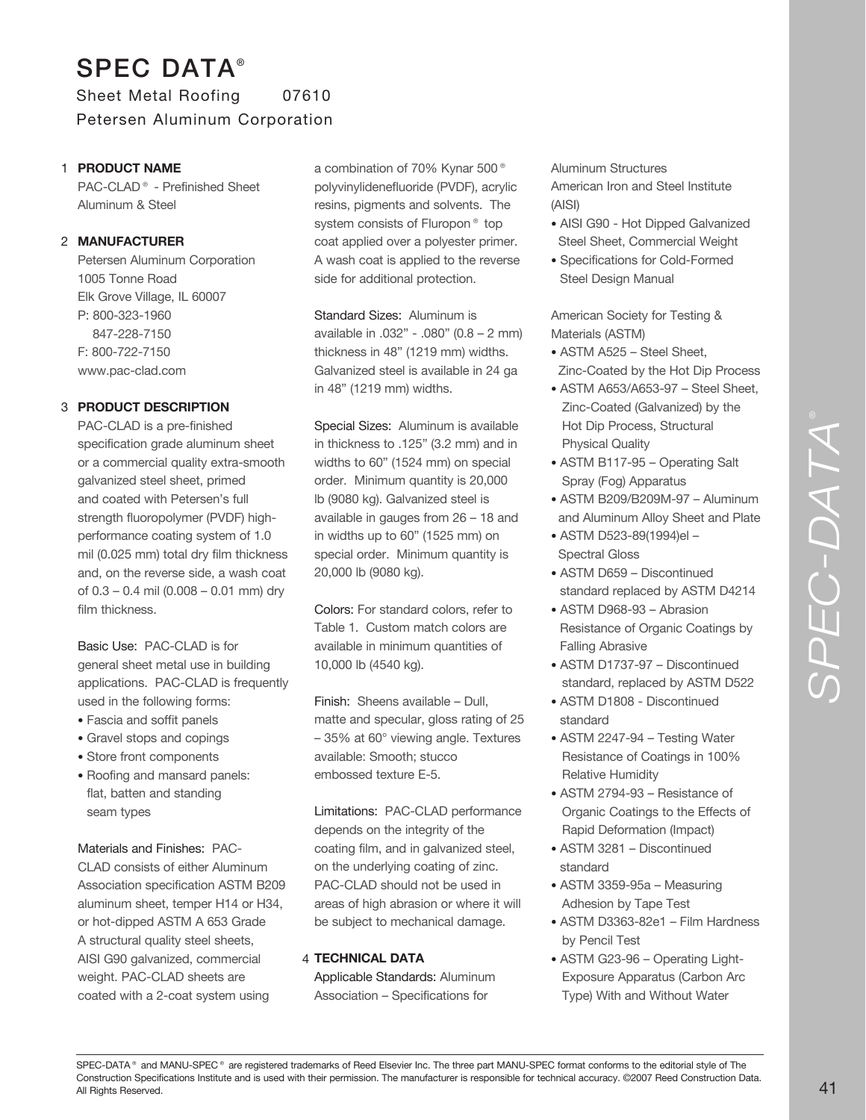# SPEC DATA® Sheet Metal Roofing 07610 Petersen Aluminum Corporation

#### **PRODUCT NAME** 1

PAC-CLAD® - Prefinished Sheet Aluminum & Steel

#### **MANUFACTURER** 2

Petersen Aluminum Corporation 1005 Tonne Road Elk Grove Village, IL 60007 P: 800-323-1960 847-228-7150 F: 800-722-7150 www.pac-clad.com

#### **PRODUCT DESCRIPTION** 3

PAC-CLAD is a pre-finished specification grade aluminum sheet or a commercial quality extra-smooth galvanized steel sheet, primed and coated with Petersen's full strength fluoropolymer (PVDF) highperformance coating system of 1.0 mil (0.025 mm) total dry film thickness and, on the reverse side, a wash coat of 0.3 – 0.4 mil (0.008 – 0.01 mm) dry film thickness.

Basic Use: PAC-CLAD is for general sheet metal use in building applications. PAC-CLAD is frequently used in the following forms:

- Fascia and soffit panels
- Gravel stops and copings
- Store front components
- Roofing and mansard panels: flat, batten and standing seam types

# Materials and Finishes: PAC-

CLAD consists of either Aluminum Association specification ASTM B209 aluminum sheet, temper H14 or H34, or hot-dipped ASTM A 653 Grade A structural quality steel sheets, AISI G90 galvanized, commercial weight. PAC-CLAD sheets are coated with a 2-coat system using

a combination of 70% Kynar 500® polyvinylidenefluoride (PVDF), acrylic resins, pigments and solvents. The system consists of Fluropon<sup>®</sup> top coat applied over a polyester primer. A wash coat is applied to the reverse side for additional protection.

Standard Sizes: Aluminum is available in .032" - .080" (0.8 – 2 mm) thickness in 48" (1219 mm) widths. Galvanized steel is available in 24 ga in 48" (1219 mm) widths.

Special Sizes: Aluminum is available in thickness to .125" (3.2 mm) and in widths to 60" (1524 mm) on special order. Minimum quantity is 20,000 lb (9080 kg). Galvanized steel is available in gauges from 26 – 18 and in widths up to 60" (1525 mm) on special order. Minimum quantity is 20,000 lb (9080 kg).

Colors: For standard colors, refer to Table 1. Custom match colors are available in minimum quantities of 10,000 lb (4540 kg).

Finish: Sheens available – Dull, matte and specular, gloss rating of 25 – 35% at 60° viewing angle. Textures available: Smooth; stucco embossed texture E-5.

Limitations: PAC-CLAD performance depends on the integrity of the coating film, and in galvanized steel, on the underlying coating of zinc. PAC-CLAD should not be used in areas of high abrasion or where it will be subject to mechanical damage.

#### **TECHNICAL DATA** 4

Applicable Standards: Aluminum Association – Specifications for

Aluminum Structures American Iron and Steel Institute (AISI)

- AISI G90 Hot Dipped Galvanized Steel Sheet, Commercial Weight
- Specifications for Cold-Formed Steel Design Manual

American Society for Testing & Materials (ASTM)

- ASTM A525 Steel Sheet, Zinc-Coated by the Hot Dip Process
- ASTM A653/A653-97 Steel Sheet, Zinc-Coated (Galvanized) by the Hot Dip Process, Structural Physical Quality
- ASTM B117-95 Operating Salt Spray (Fog) Apparatus
- ASTM B209/B209M-97 Aluminum and Aluminum Alloy Sheet and Plate
- ASTM D523-89(1994)el Spectral Gloss
- ASTM D659 Discontinued standard replaced by ASTM D4214
- ASTM D968-93 Abrasion Resistance of Organic Coatings by Falling Abrasive
- ASTM D1737-97 Discontinued standard, replaced by ASTM D522
- ASTM D1808 Discontinued standard
- ASTM 2247-94 Testing Water Resistance of Coatings in 100% Relative Humidity
- ASTM 2794-93 Resistance of Organic Coatings to the Effects of Rapid Deformation (Impact)
- ASTM 3281 Discontinued standard
- ASTM 3359-95a Measuring Adhesion by Tape Test
- ASTM D3363-82e1 Film Hardness by Pencil Test
- ASTM G23-96 Operating Light- Exposure Apparatus (Carbon Arc Type) With and Without Water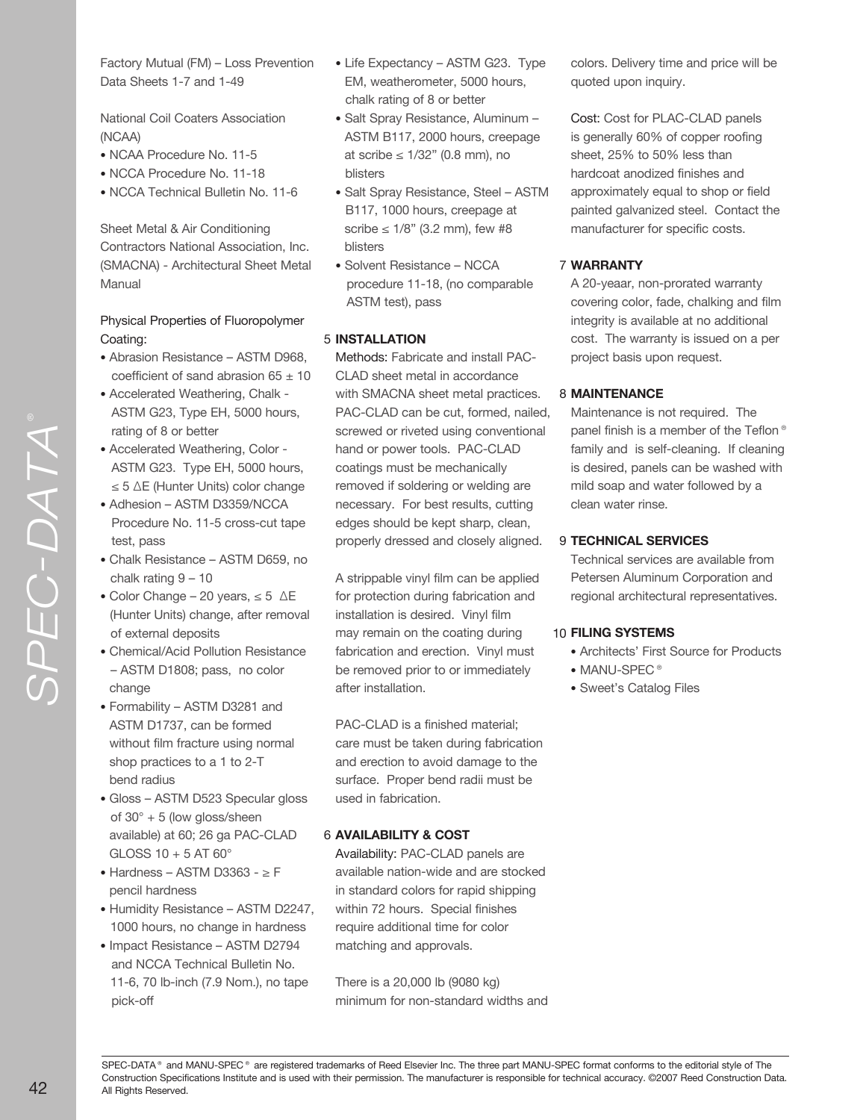*SPEC -DATA* Factory Mutual (FM) – Loss Prevention Data Sheets 1-7 and 1-49

National Coil Coaters Association (NCAA)

- NCAA Procedure No. 11-5
- NCCA Procedure No. 11-18
- NCCA Technical Bulletin No. 11-6

Sheet Metal & Air Conditioning Contractors National Association, Inc. (SMACNA) - Architectural Sheet Metal Manual

### Physical Properties of Fluoropolymer Coating:

- Abrasion Resistance ASTM D968, coefficient of sand abrasion  $65 \pm 10$
- Accelerated Weathering, Chalk ASTM G23, Type EH, 5000 hours, rating of 8 or better
- Accelerated Weathering, Color ASTM G23. Type EH, 5000 hours, ≤ 5 ∆E (Hunter Units) color change
- Adhesion ASTM D3359/NCCA Procedure No. 11-5 cross-cut tape test, pass
- Chalk Resistance ASTM D659, no chalk rating 9 – 10
- Color Change 20 years, ≤ 5 ∆E (Hunter Units) change, after removal of external deposits
- Chemical/Acid Pollution Resistance – ASTM D1808; pass, no color change
- Formability ASTM D3281 and ASTM D1737, can be formed without film fracture using normal shop practices to a 1 to 2-T bend radius
- Gloss ASTM D523 Specular gloss of 30° + 5 (low gloss/sheen available) at 60; 26 ga PAC-CLAD GLOSS 10 + 5 AT 60°
- Hardness ASTM D3363 ≥ F pencil hardness
- Humidity Resistance ASTM D2247, 1000 hours, no change in hardness
- Impact Resistance ASTM D2794 and NCCA Technical Bulletin No. 11-6, 70 lb-inch (7.9 Nom.), no tape pick-off
- Life Expectancy ASTM G23. Type EM, weatherometer, 5000 hours, chalk rating of 8 or better
- Salt Spray Resistance, Aluminum ASTM B117, 2000 hours, creepage at scribe ≤ 1/32" (0.8 mm), no blisters
- Salt Spray Resistance, Steel ASTM B117, 1000 hours, creepage at scribe  $\leq 1/8$ " (3.2 mm), few #8 blisters
- Solvent Resistance NCCA procedure 11-18, (no comparable ASTM test), pass

## **INSTALLATION** 5

Methods: Fabricate and install PAC-CLAD sheet metal in accordance with SMACNA sheet metal practices. PAC-CLAD can be cut, formed, nailed, screwed or riveted using conventional hand or power tools. PAC-CLAD coatings must be mechanically removed if soldering or welding are necessary. For best results, cutting edges should be kept sharp, clean, properly dressed and closely aligned.

A strippable vinyl film can be applied for protection during fabrication and installation is desired. Vinyl film may remain on the coating during fabrication and erection. Vinyl must be removed prior to or immediately after installation.

PAC-CLAD is a finished material; care must be taken during fabrication and erection to avoid damage to the surface. Proper bend radii must be used in fabrication.

### **AVAILABILITY & COST** 6

Availability: PAC-CLAD panels are available nation-wide and are stocked in standard colors for rapid shipping within 72 hours. Special finishes require additional time for color matching and approvals.

There is a 20,000 lb (9080 kg) minimum for non-standard widths and colors. Delivery time and price will be quoted upon inquiry.

Cost: Cost for PLAC-CLAD panels is generally 60% of copper roofing sheet, 25% to 50% less than hardcoat anodized finishes and approximately equal to shop or field painted galvanized steel. Contact the manufacturer for specific costs.

## **WARRANTY** 7

A 20-yeaar, non-prorated warranty covering color, fade, chalking and film integrity is available at no additional cost. The warranty is issued on a per project basis upon request.

## **MAINTENANCE** 8

Maintenance is not required. The panel finish is a member of the Teflon® family and is self-cleaning. If cleaning is desired, panels can be washed with mild soap and water followed by a clean water rinse.

## **TECHNICAL SERVICES** 9

Technical services are available from Petersen Aluminum Corporation and regional architectural representatives.

### **FILING SYSTEMS** 10

- Architects' First Source for Products
- MANU-SPEC<sup>®</sup>
- Sweet's Catalog Files

SPEC-DATA® and MANU-SPEC® are registered trademarks of Reed Elsevier Inc. The three part MANU-SPEC format conforms to the editorial style of The Construction Specifications Institute and is used with their permission. The manufacturer is responsible for technical accuracy. ©2007 Reed Construction Data. All Rights Reserved.